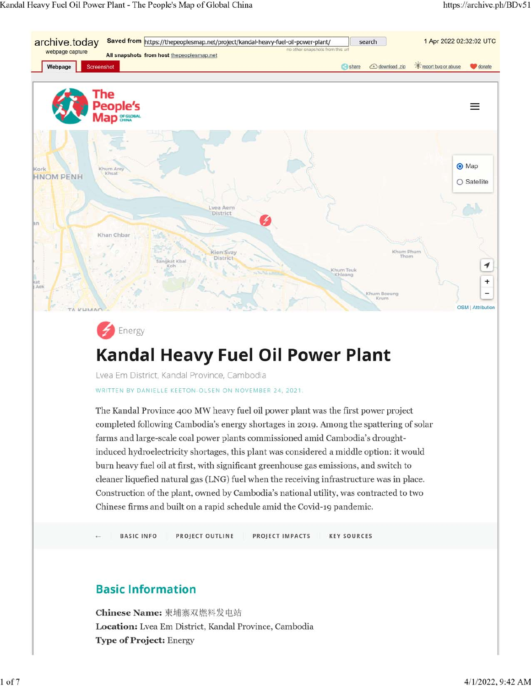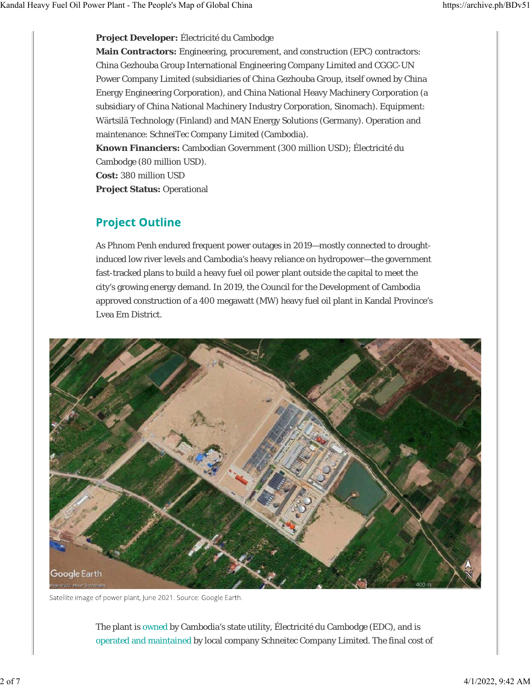**Project Developer:** Électricité du Cambodge

**Main Contractors:** Engineering, procurement, and construction (EPC) contractors: China Gezhouba Group International Engineering Company Limited and CGGC-UN Power Company Limited (subsidiaries of China Gezhouba Group, itself owned by China Energy Engineering Corporation), and China National Heavy Machinery Corporation (a subsidiary of China National Machinery Industry Corporation, Sinomach). Equipment: Wärtsilä Technology (Finland) and MAN Energy Solutions (Germany). Operation and maintenance: SchneiTec Company Limited (Cambodia).

**Known Financiers:** Cambodian Government (300 million USD); Électricité du Cambodge (80 million USD).

**Cost:** 380 million USD

**Project Status:** Operational

## **Project Outline**

As Phnom Penh endured frequent power outages in 2019—mostly connected to droughtinduced low river levels and Cambodia's heavy reliance on hydropower—the government fast-tracked plans to build a heavy fuel oil power plant outside the capital to meet the city's growing energy demand. In 2019, the Council for the Development of Cambodia approved construction of a 400 megawatt (MW) heavy fuel oil plant in Kandal Province's Lvea Em District.



Satellite image of power plant, June 2021. Source: Google Earth.

The plant is owned by Cambodia's state utility, Électricité du Cambodge (EDC), and is operated and maintained by local company Schneitec Company Limited. The final cost of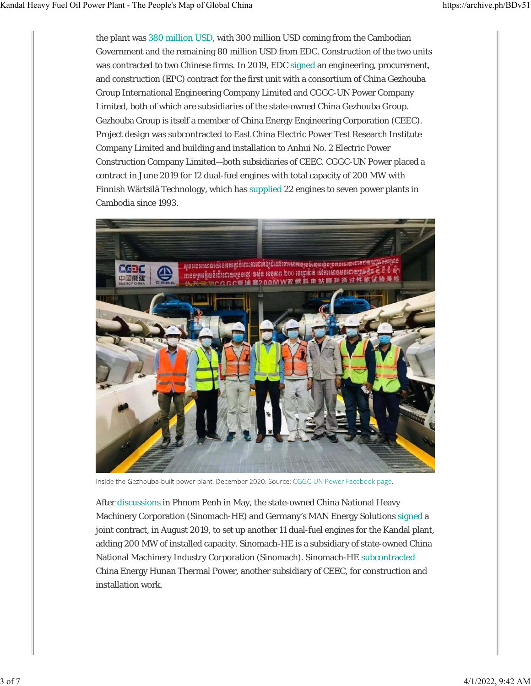the plant was 380 million USD, with 300 million USD coming from the Cambodian Government and the remaining 80 million USD from EDC. Construction of the two units was contracted to two Chinese firms. In 2019, EDC signed an engineering, procurement, and construction (EPC) contract for the first unit with a consortium of China Gezhouba Group International Engineering Company Limited and CGGC-UN Power Company Limited, both of which are subsidiaries of the state-owned China Gezhouba Group. Gezhouba Group is itself a member of China Energy Engineering Corporation (CEEC). Project design was subcontracted to East China Electric Power Test Research Institute Company Limited and building and installation to Anhui No. 2 Electric Power Construction Company Limited—both subsidiaries of CEEC. CGGC-UN Power placed a contract in June 2019 for 12 dual-fuel engines with total capacity of 200 MW with Finnish Wärtsilä Technology, which has supplied 22 engines to seven power plants in Cambodia since 1993.



Inside the Gezhouba-built power plant, December 2020. Source: CGGC-UN Power Facebook page.

After discussions in Phnom Penh in May, the state-owned China National Heavy Machinery Corporation (Sinomach-HE) and Germany's MAN Energy Solutions signed a joint contract, in August 2019, to set up another 11 dual-fuel engines for the Kandal plant, adding 200 MW of installed capacity. Sinomach-HE is a subsidiary of state-owned China National Machinery Industry Corporation (Sinomach). Sinomach-HE subcontracted China Energy Hunan Thermal Power, another subsidiary of CEEC, for construction and installation work.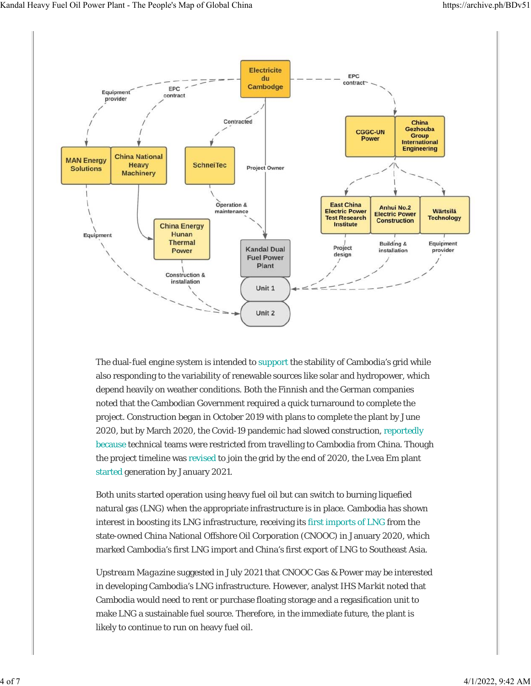

The dual-fuel engine system is intended to support the stability of Cambodia's grid while also responding to the variability of renewable sources like solar and hydropower, which depend heavily on weather conditions. Both the Finnish and the German companies noted that the Cambodian Government required a quick turnaround to complete the project. Construction began in October 2019 with plans to complete the plant by June 2020, but by March 2020, the Covid-19 pandemic had slowed construction, reportedly because technical teams were restricted from travelling to Cambodia from China. Though the project timeline was revised to join the grid by the end of 2020, the Lvea Em plant started generation by January 2021.

Both units started operation using heavy fuel oil but can switch to burning liquefied natural gas (LNG) when the appropriate infrastructure is in place. Cambodia has shown interest in boosting its LNG infrastructure, receiving its first imports of LNG from the state-owned China National Offshore Oil Corporation (CNOOC) in January 2020, which marked Cambodia's first LNG import and China's first export of LNG to Southeast Asia.

*Upstream Magazine* suggested in July 2021 that CNOOC Gas & Power may be interested in developing Cambodia's LNG infrastructure. However, analyst *IHS Markit* noted that Cambodia would need to rent or purchase floating storage and a regasification unit to make LNG a sustainable fuel source. Therefore, in the immediate future, the plant is likely to continue to run on heavy fuel oil.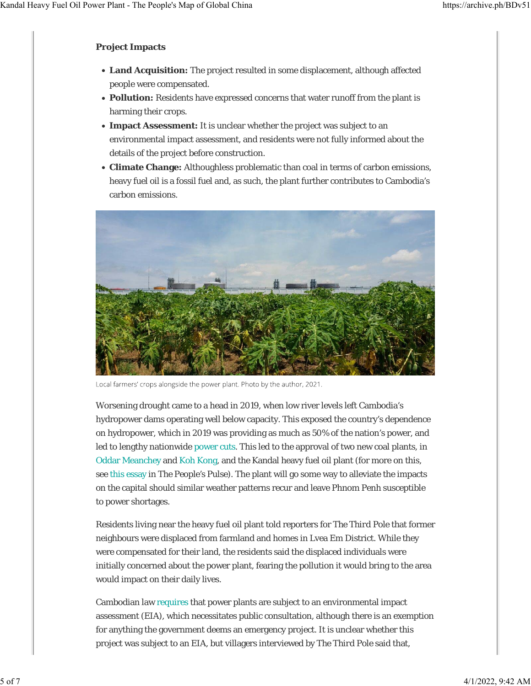#### **Project Impacts**

- **Land Acquisition:** The project resulted in some displacement, although affected people were compensated.
- **Pollution:** Residents have expressed concerns that water runoff from the plant is harming their crops.
- **Impact Assessment:** It is unclear whether the project was subject to an environmental impact assessment, and residents were not fully informed about the details of the project before construction.
- **Climate Change:** Althoughless problematic than coal in terms of carbon emissions, heavy fuel oil is a fossil fuel and, as such, the plant further contributes to Cambodia's carbon emissions.



Local farmers' crops alongside the power plant. Photo by the author, 2021.

Worsening drought came to a head in 2019, when low river levels left Cambodia's hydropower dams operating well below capacity. This exposed the country's dependence on hydropower, which in 2019 was providing as much as 50% of the nation's power, and led to lengthy nationwide power cuts. This led to the approval of two new coal plants, in Oddar Meanchey and Koh Kong, and the Kandal heavy fuel oil plant (for more on this, see this essay in *The People's Pulse*). The plant will go some way to alleviate the impacts on the capital should similar weather patterns recur and leave Phnom Penh susceptible to power shortages.

Residents living near the heavy fuel oil plant told reporters for *The Third Pole* that former neighbours were displaced from farmland and homes in Lvea Em District. While they were compensated for their land, the residents said the displaced individuals were initially concerned about the power plant, fearing the pollution it would bring to the area would impact on their daily lives.

Cambodian law requires that power plants are subject to an environmental impact assessment (EIA), which necessitates public consultation, although there is an exemption for anything the government deems an emergency project. It is unclear whether this project was subject to an EIA, but villagers interviewed by *The Third Pole* said that,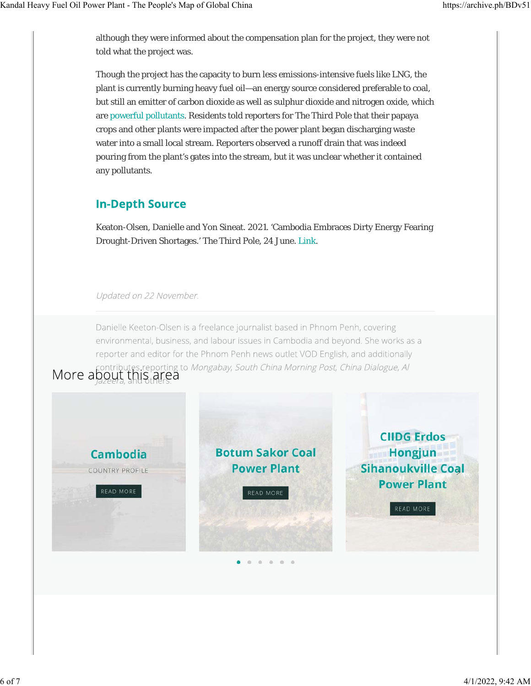although they were informed about the compensation plan for the project, they were not told what the project was.

Though the project has the capacity to burn less emissions-intensive fuels like LNG, the plant is currently burning heavy fuel oil—an energy source considered preferable to coal, but still an emitter of carbon dioxide as well as sulphur dioxide and nitrogen oxide, which are powerful pollutants. Residents told reporters for *The Third Pole* that their papaya crops and other plants were impacted after the power plant began discharging waste water into a small local stream. Reporters observed a runoff drain that was indeed pouring from the plant's gates into the stream, but it was unclear whether it contained any pollutants.

## **In-Depth Source**

Keaton-Olsen, Danielle and Yon Sineat. 2021. 'Cambodia Embraces Dirty Energy Fearing Drought-Driven Shortages.' *The Third Pole*, 24 June. Link.

#### Updated on 22 November.

Danielle Keeton-Olsen is a freelance journalist based in Phnom Penh, covering environmental, business, and labour issues in Cambodia and beyond. She works as a reporter and editor for the Phnom Penh news outlet VOD English, and additionally tes reporting to Mongabay, South China Morning Post, China Dialogue, Al

# More about this area